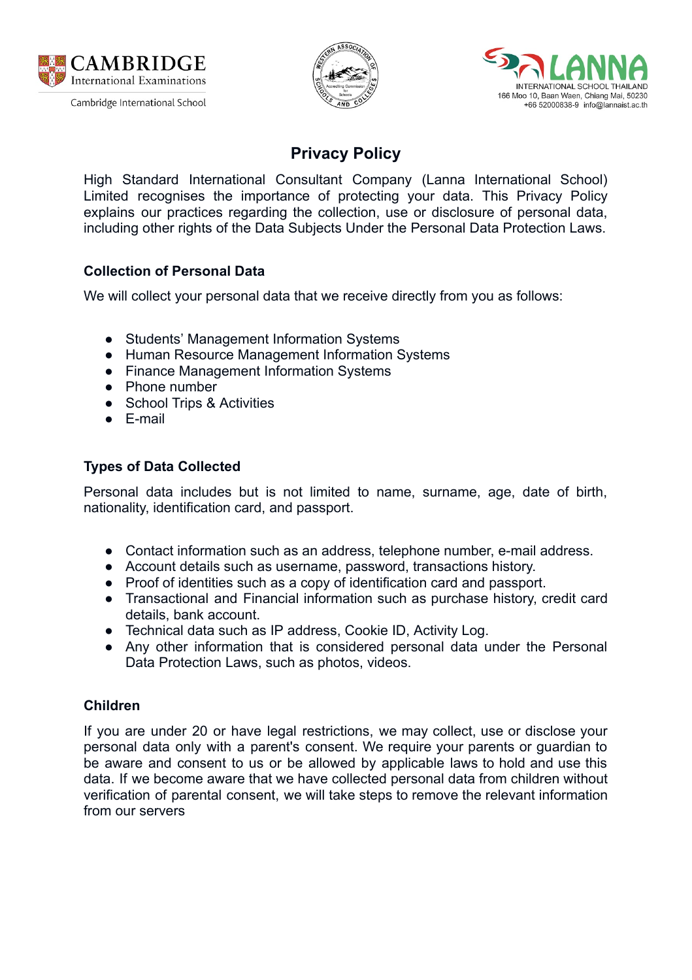





# **Privacy Policy**

 High Standard International Consultant Company (Lanna International School) Limited recognises the importance of protecting your data. This Privacy Policy explains our practices regarding the collection, use or disclosure of personal data, including other rights of the Data Subjects Under the Personal Data Protection Laws.

## **Collection of Personal Data**

We will collect your personal data that we receive directly from you as follows:

- Students' Management Information Systems
- Human Resource Management Information Systems
- Finance Management Information Systems
- Phone number
- School Trips & Activities
- E-mail

## **Types of Data Collected**

 Personal data includes but is not limited to name, surname, age, date of birth, nationality, identification card, and passport.

- Contact information such as an address, telephone number, e-mail address.
- Account details such as username, password, transactions history.
- Proof of identities such as a copy of identification card and passport.
- Transactional and Financial information such as purchase history, credit card details, bank account.
- Technical data such as IP address, Cookie ID, Activity Log.
- Any other information that is considered personal data under the Personal Data Protection Laws, such as photos, videos.

## **Children**

 If you are under 20 or have legal restrictions, we may collect, use or disclose your personal data only with a parent's consent. We require your parents or guardian to be aware and consent to us or be allowed by applicable laws to hold and use this data. If we become aware that we have collected personal data from children without verification of parental consent, we will take steps to remove the relevant information from our servers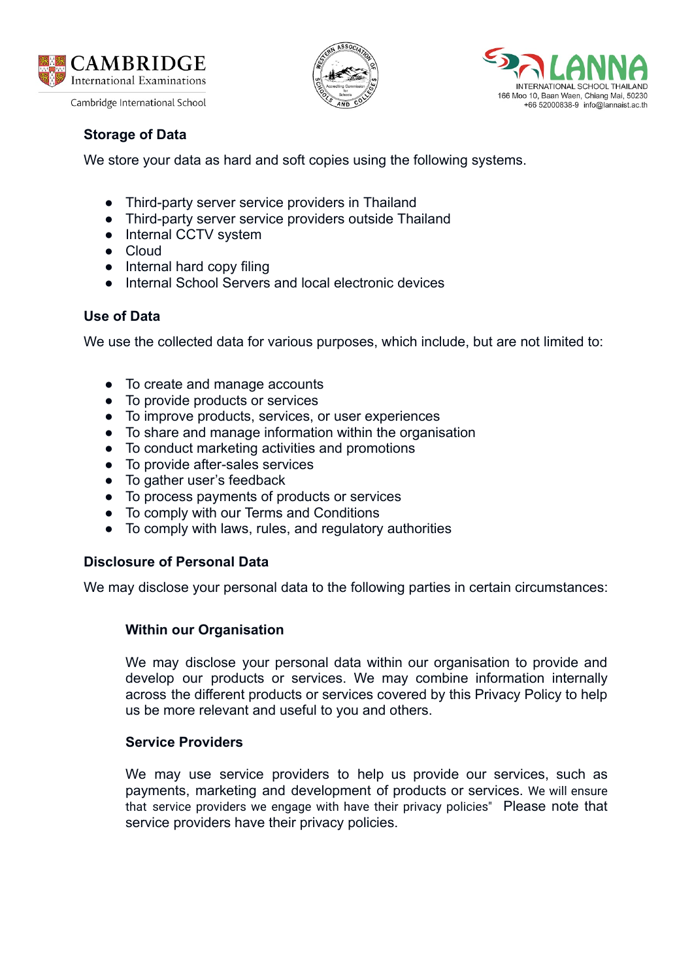





## **Storage of Data**

We store your data as hard and soft copies using the following systems.

- Third-party server service providers in Thailand
- Third-party server service providers outside Thailand
- Internal CCTV system
- Cloud
- Internal hard copy filing
- Internal School Servers and local electronic devices

## **Use of Data**

We use the collected data for various purposes, which include, but are not limited to:

- To create and manage accounts
- To provide products or services
- To improve products, services, or user experiences
- To share and manage information within the organisation
- To conduct marketing activities and promotions
- To provide after-sales services
- To gather user's feedback
- To process payments of products or services
- To comply with our Terms and Conditions
- To comply with laws, rules, and regulatory authorities

## **Disclosure of Personal Data**

We may disclose your personal data to the following parties in certain circumstances:

## **Within our Organisation**

 We may disclose your personal data within our organisation to provide and develop our products or services. We may combine information internally across the different products or services covered by this Privacy Policy to help us be more relevant and useful to you and others.

#### **Service Providers**

 We may use service providers to help us provide our services, such as payments, marketing and development of products or services. We will ensure that service providers we engage with have their privacy policies" Please note that service providers have their privacy policies.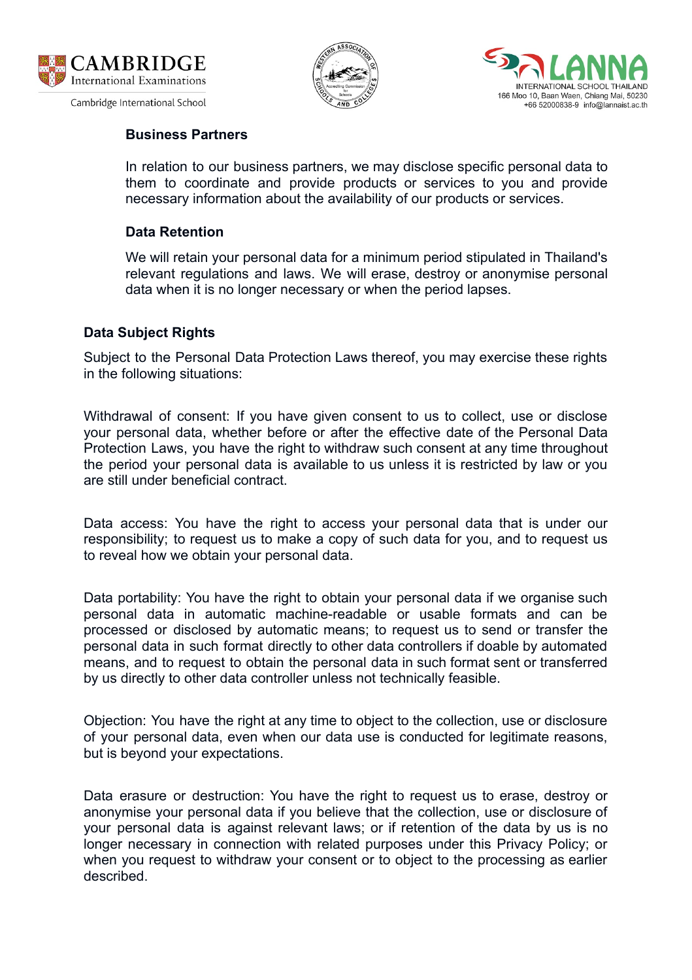





#### **Business Partners**

 In relation to our business partners, we may disclose specific personal data to them to coordinate and provide products or services to you and provide necessary information about the availability of our products or services.

#### **Data Retention**

 We will retain your personal data for a minimum period stipulated in Thailand's relevant regulations and laws. We will erase, destroy or anonymise personal data when it is no longer necessary or when the period lapses.

#### **Data Subject Rights**

 Subject to the Personal Data Protection Laws thereof, you may exercise these rights in the following situations:

 Withdrawal of consent: If you have given consent to us to collect, use or disclose your personal data, whether before or after the effective date of the Personal Data Protection Laws, you have the right to withdraw such consent at any time throughout the period your personal data is available to us unless it is restricted by law or you are still under beneficial contract.

 Data access: You have the right to access your personal data that is under our responsibility; to request us to make a copy of such data for you, and to request us to reveal how we obtain your personal data.

 Data portability: You have the right to obtain your personal data if we organise such personal data in automatic machine-readable or usable formats and can be processed or disclosed by automatic means; to request us to send or transfer the personal data in such format directly to other data controllers if doable by automated means, and to request to obtain the personal data in such format sent or transferred by us directly to other data controller unless not technically feasible.

 Objection: You have the right at any time to object to the collection, use or disclosure of your personal data, even when our data use is conducted for legitimate reasons, but is beyond your expectations.

 Data erasure or destruction: You have the right to request us to erase, destroy or anonymise your personal data if you believe that the collection, use or disclosure of your personal data is against relevant laws; or if retention of the data by us is no longer necessary in connection with related purposes under this Privacy Policy; or when you request to withdraw your consent or to object to the processing as earlier described.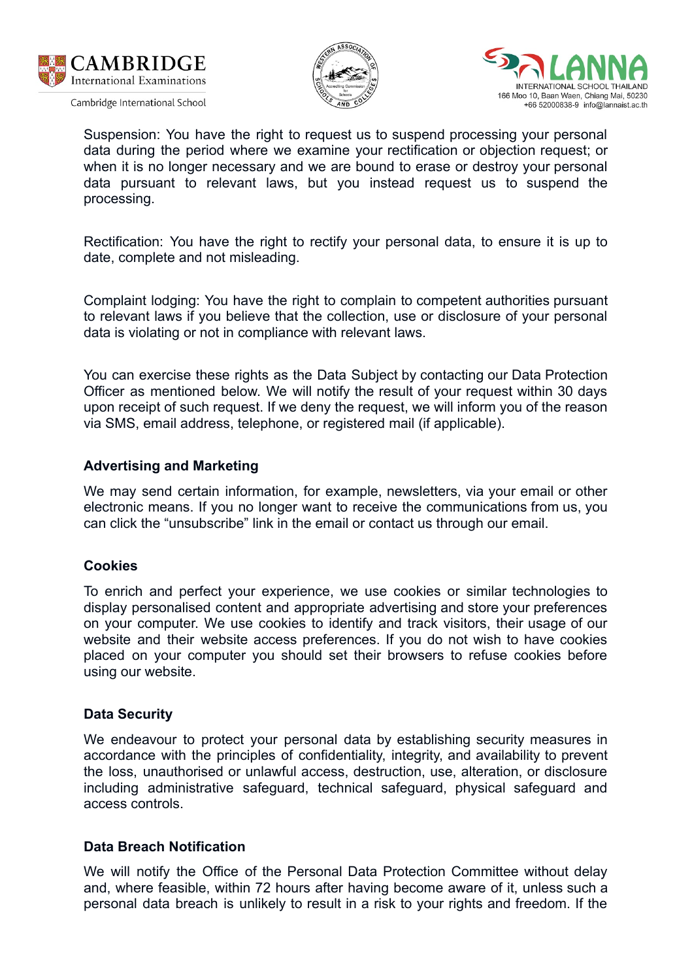





 Suspension: You have the right to request us to suspend processing your personal data during the period where we examine your rectification or objection request; or when it is no longer necessary and we are bound to erase or destroy your personal data pursuant to relevant laws, but you instead request us to suspend the processing.

 Rectification: You have the right to rectify your personal data, to ensure it is up to date, complete and not misleading.

 Complaint lodging: You have the right to complain to competent authorities pursuant to relevant laws if you believe that the collection, use or disclosure of your personal data is violating or not in compliance with relevant laws.

 You can exercise these rights as the Data Subject by contacting our Data Protection Officer as mentioned below. We will notify the result of your request within 30 days upon receipt of such request. If we deny the request, we will inform you of the reason via SMS, email address, telephone, or registered mail (if applicable).

#### **Advertising and Marketing**

 We may send certain information, for example, newsletters, via your email or other electronic means. If you no longer want to receive the communications from us, you can click the "unsubscribe" link in the email or contact us through our email.

#### **Cookies**

 To enrich and perfect your experience, we use cookies or similar technologies to display personalised content and appropriate advertising and store your preferences on your computer. We use cookies to identify and track visitors, their usage of our website and their website access preferences. If you do not wish to have cookies placed on your computer you should set their browsers to refuse cookies before using our website.

#### **Data Security**

 We endeavour to protect your personal data by establishing security measures in accordance with the principles of confidentiality, integrity, and availability to prevent the loss, unauthorised or unlawful access, destruction, use, alteration, or disclosure including administrative safeguard, technical safeguard, physical safeguard and access controls.

#### **Data Breach Notification**

 We will notify the Office of the Personal Data Protection Committee without delay and, where feasible, within 72 hours after having become aware of it, unless such a personal data breach is unlikely to result in a risk to your rights and freedom. If the